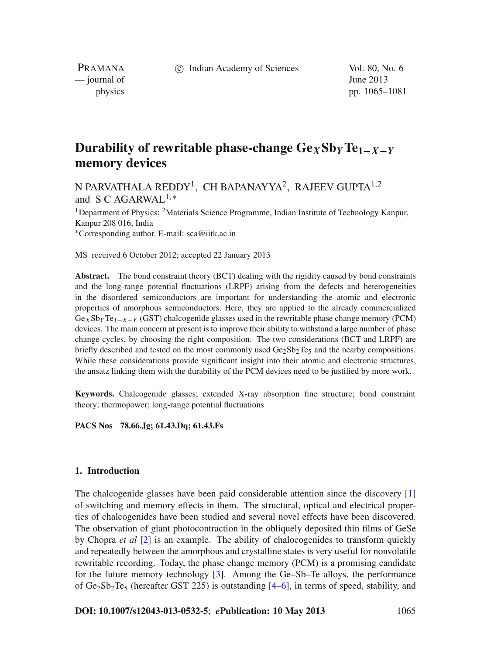c Indian Academy of Sciences Vol. 80, No. 6

PRAMANA — journal of June 2013

physics pp. 1065–1081

# **Durability of rewritable phase-change Ge***X***Sb***Y***Te1<sup>−</sup>***X***−***<sup>Y</sup>* **memory devices**

N PARVATHALA REDDY<sup>1</sup>, CH BAPANAYYA<sup>2</sup>, RAJEEV GUPTA<sup>1,2</sup> and S C AGARWAL1,<sup>∗</sup>

<sup>1</sup>Department of Physics; <sup>2</sup>Materials Science Programme, Indian Institute of Technology Kanpur, Kanpur 208 016, India <sup>∗</sup>Corresponding author. E-mail: sca@iitk.ac.in

MS received 6 October 2012; accepted 22 January 2013

**Abstract.** The bond constraint theory (BCT) dealing with the rigidity caused by bond constraints and the long-range potential fluctuations (LRPF) arising from the defects and heterogeneities in the disordered semiconductors are important for understanding the atomic and electronic properties of amorphous semiconductors. Here, they are applied to the already commercialized Ge*X* Sb*Y* Te1−*X*−*Y* (GST) chalcogenide glasses used in the rewritable phase change memory (PCM) devices. The main concern at present is to improve their ability to withstand a large number of phase change cycles, by choosing the right composition. The two considerations (BCT and LRPF) are briefly described and tested on the most commonly used  $Ge_2Sb_2Te_5$  and the nearby compositions. While these considerations provide significant insight into their atomic and electronic structures, the ansatz linking them with the durability of the PCM devices need to be justified by more work.

**Keywords.** Chalcogenide glasses; extended X-ray absorption fine structure; bond constraint theory; thermopower; long-range potential fluctuations

**PACS Nos 78.66.Jg; 61.43.Dq; 61.43.Fs**

## **1. Introduction**

The chalcogenide glasses have been paid considerable attention since the discovery [\[1\]](#page-15-0) of switching and memory effects in them. The structural, optical and electrical properties of chalcogenides have been studied and several novel effects have been discovered. The observation of giant photocontraction in the obliquely deposited thin films of GeSe by Chopra *et al* [\[2\]](#page-15-1) is an example. The ability of chalocogenides to transform quickly and repeatedly between the amorphous and crystalline states is very useful for nonvolatile rewritable recording. Today, the phase change memory (PCM) is a promising candidate for the future memory technology [\[3](#page-15-2)]. Among the Ge–Sb–Te alloys, the performance of  $Ge_2Sb_2Te_5$  (hereafter GST 225) is outstanding  $[4–6]$  $[4–6]$  $[4–6]$ , in terms of speed, stability, and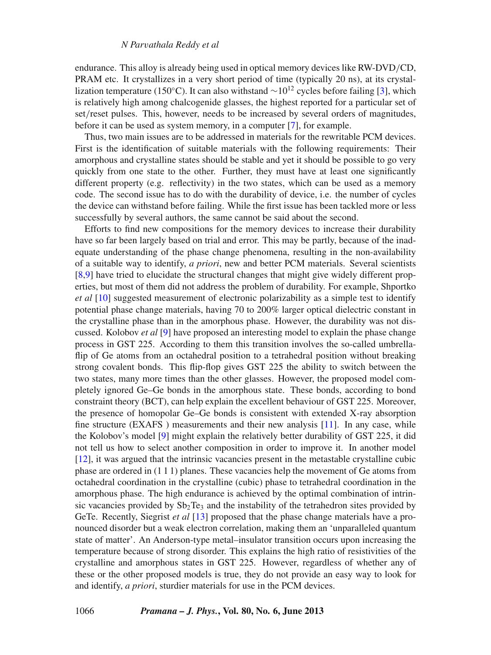## *N Par*v*athala Reddy et al*

endurance. This alloy is already being used in optical memory devices like RW-DVD/CD, PRAM etc. It crystallizes in a very short period of time (typically 20 ns), at its crystal-lization temperature (150°C). It can also withstand ∼10<sup>12</sup> cycles before failing [\[3\]](#page-15-2), which is relatively high among chalcogenide glasses, the highest reported for a particular set of set/reset pulses. This, however, needs to be increased by several orders of magnitudes, before it can be used as system memory, in a computer [\[7\]](#page-16-1), for example.

Thus, two main issues are to be addressed in materials for the rewritable PCM devices. First is the identification of suitable materials with the following requirements: Their amorphous and crystalline states should be stable and yet it should be possible to go very quickly from one state to the other. Further, they must have at least one significantly different property (e.g. reflectivity) in the two states, which can be used as a memory code. The second issue has to do with the durability of device, i.e. the number of cycles the device can withstand before failing. While the first issue has been tackled more or less successfully by several authors, the same cannot be said about the second.

Efforts to find new compositions for the memory devices to increase their durability have so far been largely based on trial and error. This may be partly, because of the inadequate understanding of the phase change phenomena, resulting in the non-availability of a suitable way to identify, *a priori*, new and better PCM materials. Several scientists [\[8](#page-16-2)[,9\]](#page-16-3) have tried to elucidate the structural changes that might give widely different properties, but most of them did not address the problem of durability. For example, Shportko *et al* [\[10\]](#page-16-4) suggested measurement of electronic polarizability as a simple test to identify potential phase change materials, having 70 to 200% larger optical dielectric constant in the crystalline phase than in the amorphous phase. However, the durability was not discussed. Kolobov *et al* [\[9\]](#page-16-3) have proposed an interesting model to explain the phase change process in GST 225. According to them this transition involves the so-called umbrellaflip of Ge atoms from an octahedral position to a tetrahedral position without breaking strong covalent bonds. This flip-flop gives GST 225 the ability to switch between the two states, many more times than the other glasses. However, the proposed model completely ignored Ge–Ge bonds in the amorphous state. These bonds, according to bond constraint theory (BCT), can help explain the excellent behaviour of GST 225. Moreover, the presence of homopolar Ge–Ge bonds is consistent with extended X-ray absorption fine structure (EXAFS ) measurements and their new analysis [\[11\]](#page-16-5). In any case, while the Kolobov's model [\[9\]](#page-16-3) might explain the relatively better durability of GST 225, it did not tell us how to select another composition in order to improve it. In another model [\[12](#page-16-6)], it was argued that the intrinsic vacancies present in the metastable crystalline cubic phase are ordered in (1 1 1) planes. These vacancies help the movement of Ge atoms from octahedral coordination in the crystalline (cubic) phase to tetrahedral coordination in the amorphous phase. The high endurance is achieved by the optimal combination of intrinsic vacancies provided by  $Sb_2Te_3$  and the instability of the tetrahedron sites provided by GeTe. Recently, Siegrist *et al* [\[13](#page-16-7)] proposed that the phase change materials have a pronounced disorder but a weak electron correlation, making them an 'unparalleled quantum state of matter'. An Anderson-type metal–insulator transition occurs upon increasing the temperature because of strong disorder. This explains the high ratio of resistivities of the crystalline and amorphous states in GST 225. However, regardless of whether any of these or the other proposed models is true, they do not provide an easy way to look for and identify, *a priori*, sturdier materials for use in the PCM devices.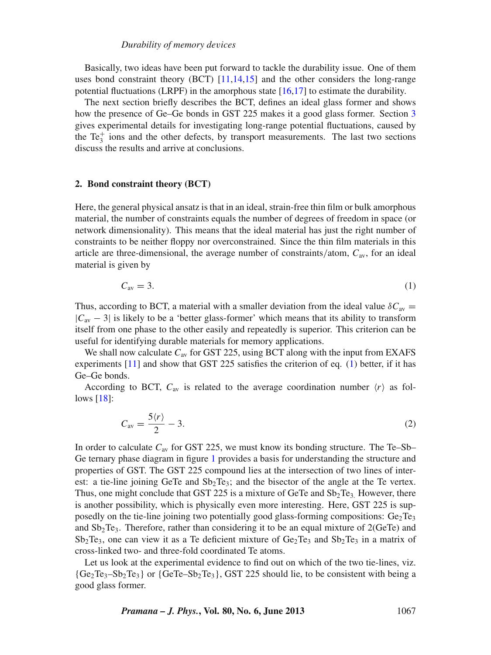#### *Durability of memory de*v*ices*

Basically, two ideas have been put forward to tackle the durability issue. One of them uses bond constraint theory (BCT) [\[11](#page-16-5)[,14](#page-16-8)[,15](#page-16-9)] and the other considers the long-range potential fluctuations (LRPF) in the amorphous state [\[16](#page-16-10)[,17](#page-16-11)] to estimate the durability.

The next section briefly describes the BCT, defines an ideal glass former and shows how the presence of Ge–Ge bonds in GST 225 makes it a good glass former. Section [3](#page-5-0) gives experimental details for investigating long-range potential fluctuations, caused by the  $Te_3^+$  ions and the other defects, by transport measurements. The last two sections discuss the results and arrive at conclusions.

#### **2. Bond constraint theory (BCT)**

Here, the general physical ansatz is that in an ideal, strain-free thin film or bulk amorphous material, the number of constraints equals the number of degrees of freedom in space (or network dimensionality). This means that the ideal material has just the right number of constraints to be neither floppy nor overconstrained. Since the thin film materials in this article are three-dimensional, the average number of constraints/atom,  $C_{av}$ , for an ideal material is given by

<span id="page-2-0"></span>
$$
C_{\rm av} = 3.\tag{1}
$$

Thus, according to BCT, a material with a smaller deviation from the ideal value  $\delta C_{\text{av}} =$  $|C_{av} - 3|$  is likely to be a 'better glass-former' which means that its ability to transform itself from one phase to the other easily and repeatedly is superior. This criterion can be useful for identifying durable materials for memory applications.

We shall now calculate  $C_{av}$  for GST 225, using BCT along with the input from EXAFS experiments  $[11]$  and show that GST 225 satisfies the criterion of eq. [\(1\)](#page-2-0) better, if it has Ge–Ge bonds.

According to BCT,  $C_{av}$  is related to the average coordination number  $\langle r \rangle$  as follows [\[18](#page-16-12)]:

$$
C_{\text{av}} = \frac{5\langle r \rangle}{2} - 3. \tag{2}
$$

In order to calculate *C*av for GST 225, we must know its bonding structure. The Te–Sb– Ge ternary phase diagram in figure [1](#page-3-0) provides a basis for understanding the structure and properties of GST. The GST 225 compound lies at the intersection of two lines of interest: a tie-line joining GeTe and  $Sb<sub>2</sub>Te<sub>3</sub>$ ; and the bisector of the angle at the Te vertex. Thus, one might conclude that GST 225 is a mixture of GeTe and  $Sb<sub>2</sub>Te<sub>3</sub>$ . However, there is another possibility, which is physically even more interesting. Here, GST 225 is supposedly on the tie-line joining two potentially good glass-forming compositions:  $Ge_2Te_3$ and  $Sb_2Te_3$ . Therefore, rather than considering it to be an equal mixture of 2(GeTe) and  $Sb<sub>2</sub>Te<sub>3</sub>$ , one can view it as a Te deficient mixture of  $Ge<sub>2</sub>Te<sub>3</sub>$  and  $Sb<sub>2</sub>Te<sub>3</sub>$  in a matrix of cross-linked two- and three-fold coordinated Te atoms.

Let us look at the experimental evidence to find out on which of the two tie-lines, viz.  ${Ge_2Te_3-Sb_2Te_3}$  or  ${GeTe_8b_2Te_3}$ , GST 225 should lie, to be consistent with being a good glass former.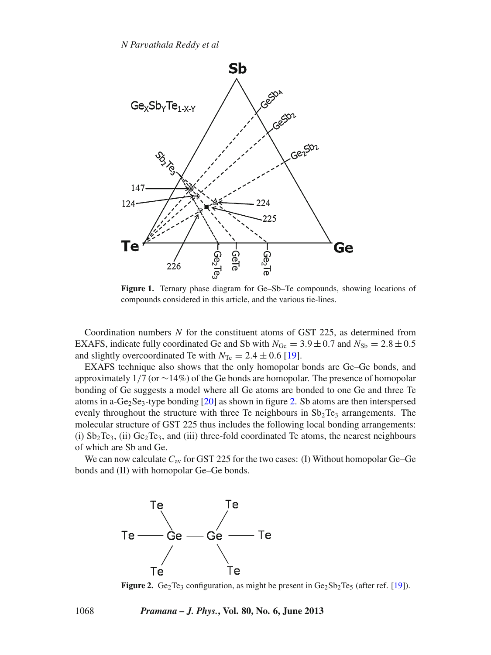*N Par*v*athala Reddy et al*

<span id="page-3-0"></span>

**Figure 1.** Ternary phase diagram for Ge–Sb–Te compounds, showing locations of compounds considered in this article, and the various tie-lines.

Coordination numbers *N* for the constituent atoms of GST 225, as determined from EXAFS, indicate fully coordinated Ge and Sb with  $N_{Ge} = 3.9 \pm 0.7$  and  $N_{Sb} = 2.8 \pm 0.5$ and slightly overcoordinated Te with  $N_{\text{Te}} = 2.4 \pm 0.6$  [\[19](#page-16-13)].

EXAFS technique also shows that the only homopolar bonds are Ge–Ge bonds, and approximately 1/7 (or ∼14%) of the Ge bonds are homopolar. The presence of homopolar bonding of Ge suggests a model where all Ge atoms are bonded to one Ge and three Te atoms in a-Ge<sub>2</sub>Se<sub>3</sub>-type bonding [\[20\]](#page-16-14) as shown in figure [2.](#page-3-1) Sb atoms are then interspersed evenly throughout the structure with three Te neighbours in  $Sb<sub>2</sub>Te<sub>3</sub>$  arrangements. The molecular structure of GST 225 thus includes the following local bonding arrangements: (i)  $Sb_2Te_3$ , (ii)  $Ge_2Te_3$ , and (iii) three-fold coordinated Te atoms, the nearest neighbours of which are Sb and Ge.

<span id="page-3-1"></span>We can now calculate  $C_{\text{av}}$  for GST 225 for the two cases: (I) Without homopolar Ge–Ge bonds and (II) with homopolar Ge–Ge bonds.



**Figure 2.** Ge<sub>2</sub>Te<sub>3</sub> configuration, as might be present in  $Ge_2Sb_2Te_5$  (after ref. [\[19](#page-16-13)]).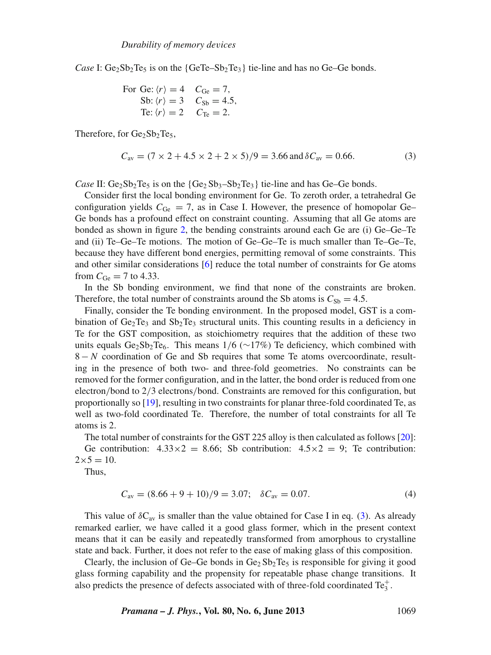*Case* I:  $Ge_2Sb_2Te_5$  is on the  $\{GeTe-Sb_2Te_3\}$  tie-line and has no  $Ge-Ge$  bonds.

For Ge: 
$$
\langle r \rangle = 4
$$
  $C_{Ge} = 7$ ,  
\nSb:  $\langle r \rangle = 3$   $C_{Sb} = 4.5$ ,  
\nTe:  $\langle r \rangle = 2$   $C_{Te} = 2$ .

Therefore, for  $Ge_2Sb_2Te_5$ ,

<span id="page-4-0"></span>
$$
C_{\text{av}} = (7 \times 2 + 4.5 \times 2 + 2 \times 5)/9 = 3.66 \text{ and } \delta C_{\text{av}} = 0.66. \tag{3}
$$

*Case* II:  $Ge_2Sb_2Te_5$  is on the  $\{Ge_2Sb_3-Sb_2Te_3\}$  tie-line and has Ge–Ge bonds.

Consider first the local bonding environment for Ge. To zeroth order, a tetrahedral Ge configuration yields  $C_{\text{Ge}} = 7$ , as in Case I. However, the presence of homopolar Ge– Ge bonds has a profound effect on constraint counting. Assuming that all Ge atoms are bonded as shown in figure [2,](#page-3-1) the bending constraints around each Ge are (i) Ge–Ge–Te and (ii) Te–Ge–Te motions. The motion of Ge–Ge–Te is much smaller than Te–Ge–Te, because they have different bond energies, permitting removal of some constraints. This and other similar considerations [\[6\]](#page-16-0) reduce the total number of constraints for Ge atoms from  $C_{\text{Ge}} = 7$  to 4.33.

In the Sb bonding environment, we find that none of the constraints are broken. Therefore, the total number of constraints around the Sb atoms is  $C_{\text{Sb}} = 4.5$ .

Finally, consider the Te bonding environment. In the proposed model, GST is a combination of  $Ge_2Te_3$  and  $Sb_2Te_3$  structural units. This counting results in a deficiency in Te for the GST composition, as stoichiometry requires that the addition of these two units equals Ge<sub>2</sub>Sb<sub>2</sub>Te<sub>6</sub>. This means 1/6 (∼17%) Te deficiency, which combined with 8− *N* coordination of Ge and Sb requires that some Te atoms overcoordinate, resulting in the presence of both two- and three-fold geometries. No constraints can be removed for the former configuration, and in the latter, the bond order is reduced from one electron/bond to 2/3 electrons/bond. Constraints are removed for this configuration, but proportionally so [\[19](#page-16-13)], resulting in two constraints for planar three-fold coordinated Te, as well as two-fold coordinated Te. Therefore, the number of total constraints for all Te atoms is 2.

The total number of constraints for the GST 225 alloy is then calculated as follows [\[20](#page-16-14)]: Ge contribution:  $4.33 \times 2 = 8.66$ ; Sb contribution:  $4.5 \times 2 = 9$ ; Te contribution:  $2 \times 5 = 10$ .

Thus,

$$
C_{\text{av}} = (8.66 + 9 + 10)/9 = 3.07; \quad \delta C_{\text{av}} = 0.07. \tag{4}
$$

This value of  $\delta C_{av}$  is smaller than the value obtained for Case I in eq. [\(3\)](#page-4-0). As already remarked earlier, we have called it a good glass former, which in the present context means that it can be easily and repeatedly transformed from amorphous to crystalline state and back. Further, it does not refer to the ease of making glass of this composition.

Clearly, the inclusion of Ge–Ge bonds in  $Ge_2Sb_2Te_5$  is responsible for giving it good glass forming capability and the propensity for repeatable phase change transitions. It also predicts the presence of defects associated with of three-fold coordinated  $Te_3^+$ .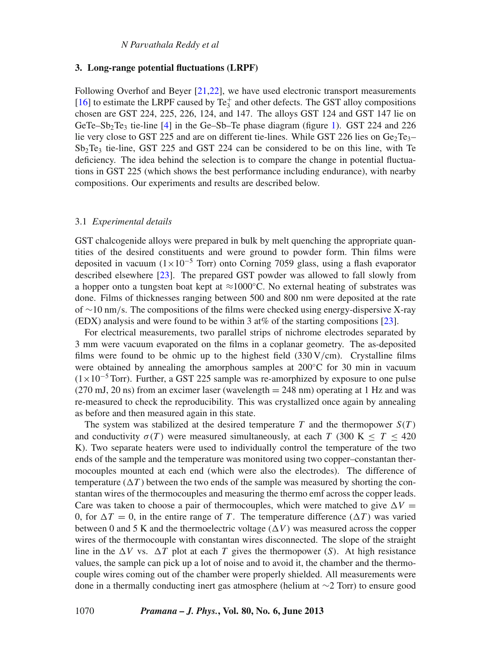#### <span id="page-5-0"></span>**3. Long-range potential fluctuations (LRPF)**

Following Overhof and Beyer [\[21](#page-16-15)[,22\]](#page-16-16), we have used electronic transport measurements [\[16](#page-16-10)] to estimate the LRPF caused by  $Te_3^+$  and other defects. The GST alloy compositions chosen are GST 224, 225, 226, 124, and 147. The alloys GST 124 and GST 147 lie on GeTe–Sb<sub>2</sub>Te<sub>3</sub> tie-line [\[4](#page-15-3)] in the Ge–Sb–Te phase diagram (figure [1\)](#page-3-0). GST 224 and 226 lie very close to GST 225 and are on different tie-lines. While GST 226 lies on  $Ge_2Te_3$ – Sb2Te3 tie-line, GST 225 and GST 224 can be considered to be on this line, with Te deficiency. The idea behind the selection is to compare the change in potential fluctuations in GST 225 (which shows the best performance including endurance), with nearby compositions. Our experiments and results are described below.

## <span id="page-5-1"></span>3.1 *Experimental details*

GST chalcogenide alloys were prepared in bulk by melt quenching the appropriate quantities of the desired constituents and were ground to powder form. Thin films were deposited in vacuum ( $1 \times 10^{-5}$  Torr) onto Corning 7059 glass, using a flash evaporator described elsewhere [\[23](#page-16-17)]. The prepared GST powder was allowed to fall slowly from a hopper onto a tungsten boat kept at  $\approx 1000^{\circ}$ C. No external heating of substrates was done. Films of thicknesses ranging between 500 and 800 nm were deposited at the rate of ∼10 nm/s. The compositions of the films were checked using energy-dispersive X-ray (EDX) analysis and were found to be within 3 at% of the starting compositions [\[23\]](#page-16-17).

For electrical measurements, two parallel strips of nichrome electrodes separated by 3 mm were vacuum evaporated on the films in a coplanar geometry. The as-deposited films were found to be ohmic up to the highest field  $(330 \text{V/cm})$ . Crystalline films were obtained by annealing the amorphous samples at 200◦C for 30 min in vacuum  $(1\times10^{-5}$  Torr). Further, a GST 225 sample was re-amorphized by exposure to one pulse  $(270 \text{ mJ}, 20 \text{ ns})$  from an excimer laser (wavelength  $= 248 \text{ nm}$ ) operating at 1 Hz and was re-measured to check the reproducibility. This was crystallized once again by annealing as before and then measured again in this state.

The system was stabilized at the desired temperature  $T$  and the thermopower  $S(T)$ and conductivity  $\sigma(T)$  were measured simultaneously, at each *T* (300 K  $\leq T \leq 420$ ) K). Two separate heaters were used to individually control the temperature of the two ends of the sample and the temperature was monitored using two copper–constantan thermocouples mounted at each end (which were also the electrodes). The difference of temperature  $(\Delta T)$  between the two ends of the sample was measured by shorting the constantan wires of the thermocouples and measuring the thermo emf across the copper leads. Care was taken to choose a pair of thermocouples, which were matched to give  $\Delta V =$ 0, for  $\Delta T = 0$ , in the entire range of *T*. The temperature difference  $(\Delta T)$  was varied between 0 and 5 K and the thermoelectric voltage  $(\Delta V)$  was measured across the copper wires of the thermocouple with constantan wires disconnected. The slope of the straight line in the  $\Delta V$  vs.  $\Delta T$  plot at each *T* gives the thermopower (*S*). At high resistance values, the sample can pick up a lot of noise and to avoid it, the chamber and the thermocouple wires coming out of the chamber were properly shielded. All measurements were done in a thermally conducting inert gas atmosphere (helium at ∼2 Torr) to ensure good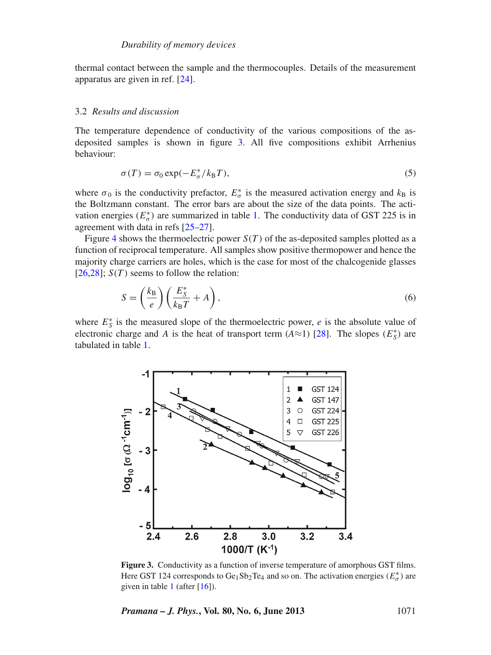thermal contact between the sample and the thermocouples. Details of the measurement apparatus are given in ref. [\[24](#page-16-18)].

## <span id="page-6-3"></span>3.2 *Results and discussion*

The temperature dependence of conductivity of the various compositions of the asdeposited samples is shown in figure [3.](#page-6-0) All five compositions exhibit Arrhenius behaviour:

<span id="page-6-1"></span>
$$
\sigma(T) = \sigma_0 \exp(-E_{\sigma}^* / k_B T),\tag{5}
$$

where  $\sigma_0$  is the conductivity prefactor,  $E^*_{\sigma}$  is the measured activation energy and  $k_B$  is the Boltzmann constant. The error bars are about the size of the data points. The activation energies ( $E^*_{\sigma}$ ) are summarized in table [1.](#page-7-0) The conductivity data of GST 225 is in agreement with data in refs [\[25](#page-16-19)[–27](#page-16-20)].

Figure [4](#page-7-1) shows the thermoelectric power  $S(T)$  of the as-deposited samples plotted as a function of reciprocal temperature. All samples show positive thermopower and hence the majority charge carriers are holes, which is the case for most of the chalcogenide glasses  $[26,28]$  $[26,28]$ ; *S(T)* seems to follow the relation:

<span id="page-6-2"></span>
$$
S = \left(\frac{k_{\rm B}}{e}\right) \left(\frac{E_{\rm S}^*}{k_{\rm B}T} + A\right),\tag{6}
$$

where  $E_S^*$  is the measured slope of the thermoelectric power,  $e$  is the absolute value of electronic charge and *A* is the heat of transport term ( $A \approx 1$ ) [\[28\]](#page-16-22). The slopes ( $E_S^*$ ) are tabulated in table [1.](#page-7-0)

<span id="page-6-0"></span>

**Figure 3.** Conductivity as a function of inverse temperature of amorphous GST films. Here GST 124 corresponds to Ge<sub>1</sub>Sb<sub>2</sub>Te<sub>4</sub> and so on. The activation energies ( $E^*_{\sigma}$ ) are given in table [1](#page-7-0) (after  $[16]$ ).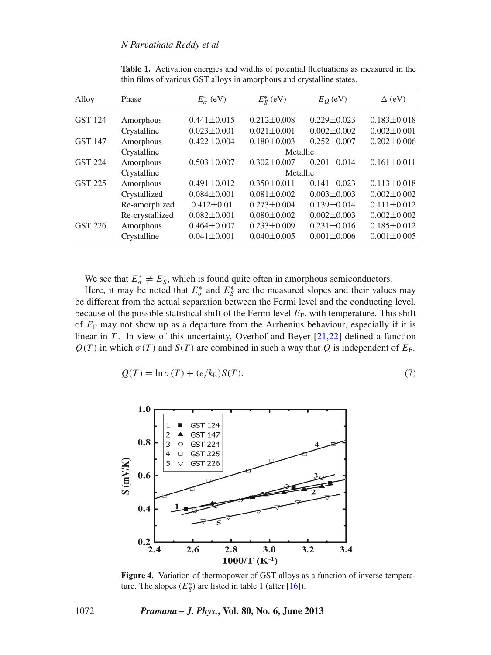<span id="page-7-0"></span>

| Alloy          | Phase           | $E^*_{\sigma}$ (eV) | $E_S^*$ (eV)      | $E_O$ (eV)        | $\Delta$ (eV)     |
|----------------|-----------------|---------------------|-------------------|-------------------|-------------------|
| <b>GST 124</b> | Amorphous       | $0.441 \pm 0.015$   | $0.212 \pm 0.008$ | $0.229 \pm 0.023$ | $0.183 \pm 0.018$ |
|                | Crystalline     | $0.023 \pm 0.001$   | $0.021 \pm 0.001$ | $0.002 \pm 0.002$ | $0.002 \pm 0.001$ |
| <b>GST 147</b> | Amorphous       | $0.422 \pm 0.004$   | $0.180 \pm 0.003$ | $0.252 \pm 0.007$ | $0.202 \pm 0.006$ |
|                | Crystalline     | Metallic            |                   |                   |                   |
| <b>GST 224</b> | Amorphous       | $0.503 \pm 0.007$   | $0.302 \pm 0.007$ | $0.201 \pm 0.014$ | $0.161 \pm 0.011$ |
|                | Crystalline     | Metallic            |                   |                   |                   |
| GST 225        | Amorphous       | $0.491 \pm 0.012$   | $0.350 \pm 0.011$ | $0.141 \pm 0.023$ | $0.113 \pm 0.018$ |
|                | Crystallized    | $0.084 \pm 0.001$   | $0.081 \pm 0.002$ | $0.003 \pm 0.003$ | $0.002 \pm 0.002$ |
|                | Re-amorphized   | $0.412 \pm 0.01$    | $0.273 \pm 0.004$ | $0.139 \pm 0.014$ | $0.111 \pm 0.012$ |
|                | Re-crystallized | $0.082 \pm 0.001$   | $0.080 \pm 0.002$ | $0.002 \pm 0.003$ | $0.002 \pm 0.002$ |
| GST 226        | Amorphous       | $0.464 \pm 0.007$   | $0.233 \pm 0.009$ | $0.231 \pm 0.016$ | $0.185 \pm 0.012$ |
|                | Crystalline     | $0.041 \pm 0.001$   | $0.040 \pm 0.005$ | $0.001 \pm 0.006$ | $0.001 \pm 0.005$ |

**Table 1.** Activation energies and widths of potential fluctuations as measured in the thin films of various GST alloys in amorphous and crystalline states.

We see that  $E^*_{\sigma} \neq E^*_{S}$ , which is found quite often in amorphous semiconductors.

Here, it may be noted that  $E^*_{\sigma}$  and  $E^*_{S}$  are the measured slopes and their values may be different from the actual separation between the Fermi level and the conducting level, because of the possible statistical shift of the Fermi level  $E_F$ , with temperature. This shift of  $E_F$  may not show up as a departure from the Arrhenius behaviour, especially if it is linear in *T*. In view of this uncertainty, Overhof and Beyer [\[21](#page-16-15)[,22\]](#page-16-16) defined a function  $Q(T)$  in which  $\sigma(T)$  and  $S(T)$  are combined in such a way that *Q* is independent of  $E_F$ .

<span id="page-7-2"></span>
$$
Q(T) = \ln \sigma(T) + (e/k_B)S(T). \tag{7}
$$

<span id="page-7-1"></span>

**Figure 4.** Variation of thermopower of GST alloys as a function of inverse temperature. The slopes  $(E_S^*)$  are listed in table [1](#page-7-0) (after [\[16\]](#page-16-10)).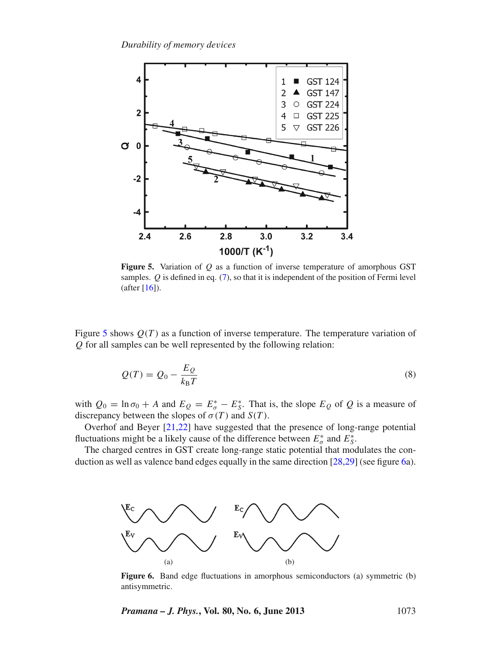<span id="page-8-0"></span>

**Figure 5.** Variation of *Q* as a function of inverse temperature of amorphous GST samples. *Q* is defined in eq. [\(7\)](#page-7-2), so that it is independent of the position of Fermi level (after [\[16](#page-16-10)]).

Figure [5](#page-8-0) shows  $Q(T)$  as a function of inverse temperature. The temperature variation of *Q* for all samples can be well represented by the following relation:

$$
Q(T) = Q_0 - \frac{E_Q}{k_B T} \tag{8}
$$

with  $Q_0 = \ln \sigma_0 + A$  and  $E_Q = E^*_{\sigma} - E^*_{S}$ . That is, the slope  $E_Q$  of  $Q$  is a measure of discrepancy between the slopes of  $\sigma(T)$  and  $S(T)$ .

Overhof and Beyer [\[21](#page-16-15)[,22](#page-16-16)] have suggested that the presence of long-range potential fluctuations might be a likely cause of the difference between  $E^*_{\sigma}$  and  $E^*_{S}$ .

The charged centres in GST create long-range static potential that modulates the con-duction as well as valence band edges equally in the same direction [\[28](#page-16-22)[,29\]](#page-16-23) (see figure [6a](#page-8-1)).

<span id="page-8-1"></span>

Figure 6. Band edge fluctuations in amorphous semiconductors (a) symmetric (b) antisymmetric.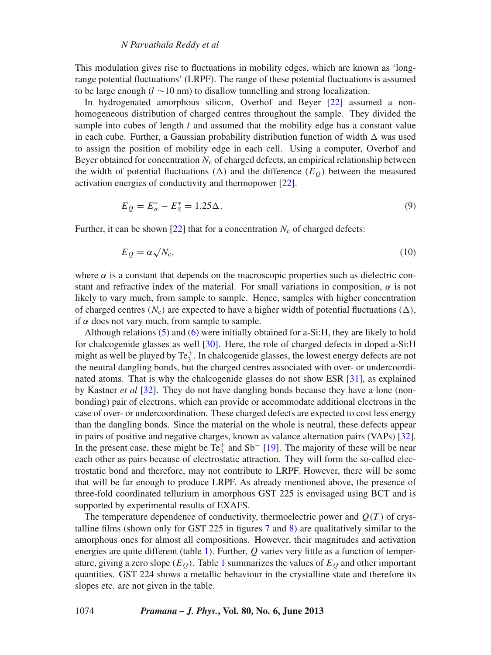This modulation gives rise to fluctuations in mobility edges, which are known as 'longrange potential fluctuations' (LRPF). The range of these potential fluctuations is assumed to be large enough (*l* ∼10 nm) to disallow tunnelling and strong localization.

In hydrogenated amorphous silicon, Overhof and Beyer [\[22](#page-16-16)] assumed a nonhomogeneous distribution of charged centres throughout the sample. They divided the sample into cubes of length *l* and assumed that the mobility edge has a constant value in each cube. Further, a Gaussian probability distribution function of width  $\Delta$  was used to assign the position of mobility edge in each cell. Using a computer, Overhof and Beyer obtained for concentration  $N_c$  of charged defects, an empirical relationship between the width of potential fluctuations  $(\Delta)$  and the difference  $(E<sub>O</sub>)$  between the measured activation energies of conductivity and thermopower [\[22](#page-16-16)].

<span id="page-9-1"></span><span id="page-9-0"></span>
$$
E_Q = E^*_{\sigma} - E^*_{\rm S} = 1.25 \Delta. \tag{9}
$$

Further, it can be shown [\[22\]](#page-16-16) that for a concentration  $N_c$  of charged defects:

$$
E_Q = \alpha \sqrt{N_c},\tag{10}
$$

where  $\alpha$  is a constant that depends on the macroscopic properties such as dielectric constant and refractive index of the material. For small variations in composition,  $\alpha$  is not likely to vary much, from sample to sample. Hence, samples with higher concentration of charged centres  $(N_c)$  are expected to have a higher width of potential fluctuations  $(\Delta)$ , if  $α$  does not vary much, from sample to sample.

Although relations [\(5\)](#page-6-1) and [\(6\)](#page-6-2) were initially obtained for a-Si:H, they are likely to hold for chalcogenide glasses as well [\[30\]](#page-16-24). Here, the role of charged defects in doped a-Si:H might as well be played by  $Te_3^+$ . In chalcogenide glasses, the lowest energy defects are not the neutral dangling bonds, but the charged centres associated with over- or undercoordinated atoms. That is why the chalcogenide glasses do not show ESR [\[31](#page-16-25)], as explained by Kastner *et al* [\[32](#page-16-26)]. They do not have dangling bonds because they have a lone (nonbonding) pair of electrons, which can provide or accommodate additional electrons in the case of over- or undercoordination. These charged defects are expected to cost less energy than the dangling bonds. Since the material on the whole is neutral, these defects appear in pairs of positive and negative charges, known as valance alternation pairs (VAPs) [\[32](#page-16-26)]. In the present case, these might be  $Te_3^+$  and  $Sb^-$  [\[19\]](#page-16-13). The majority of these will be near each other as pairs because of electrostatic attraction. They will form the so-called electrostatic bond and therefore, may not contribute to LRPF. However, there will be some that will be far enough to produce LRPF. As already mentioned above, the presence of three-fold coordinated tellurium in amorphous GST 225 is envisaged using BCT and is supported by experimental results of EXAFS.

The temperature dependence of conductivity, thermoelectric power and  $Q(T)$  of crystalline films (shown only for GST 225 in figures [7](#page-10-0) and [8\)](#page-10-1) are qualitatively similar to the amorphous ones for almost all compositions. However, their magnitudes and activation energies are quite different (table [1\)](#page-7-0). Further, *Q* varies very little as a function of temperature, giving a zero slope  $(E<sub>O</sub>)$ . Table [1](#page-7-0) summarizes the values of  $E<sub>O</sub>$  and other important quantities. GST 224 shows a metallic behaviour in the crystalline state and therefore its slopes etc. are not given in the table.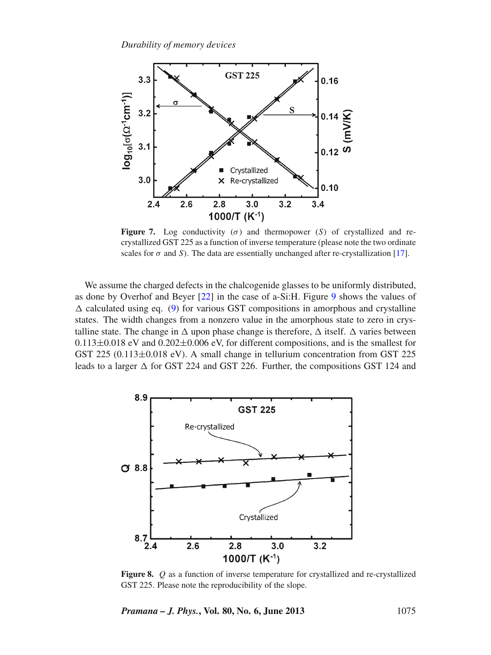<span id="page-10-0"></span>

**Figure 7.** Log conductivity ( $\sigma$ ) and thermopower (*S*) of crystallized and recrystallized GST 225 as a function of inverse temperature (please note the two ordinate scales for  $\sigma$  and *S*). The data are essentially unchanged after re-crystallization [\[17\]](#page-16-11).

We assume the charged defects in the chalcogenide glasses to be uniformly distributed, as done by Overhof and Beyer [\[22\]](#page-16-16) in the case of a-Si:H. Figure [9](#page-11-0) shows the values of  $\Delta$  calculated using eq. [\(9\)](#page-9-0) for various GST compositions in amorphous and crystalline states. The width changes from a nonzero value in the amorphous state to zero in crystalline state. The change in  $\Delta$  upon phase change is therefore,  $\Delta$  itself.  $\Delta$  varies between  $0.113\pm0.018$  eV and  $0.202\pm0.006$  eV, for different compositions, and is the smallest for GST 225 (0.113±0.018 eV). A small change in tellurium concentration from GST 225 leads to a larger  $\Delta$  for GST 224 and GST 226. Further, the compositions GST 124 and

<span id="page-10-1"></span>

**Figure 8.** *Q* as a function of inverse temperature for crystallized and re-crystallized GST 225. Please note the reproducibility of the slope.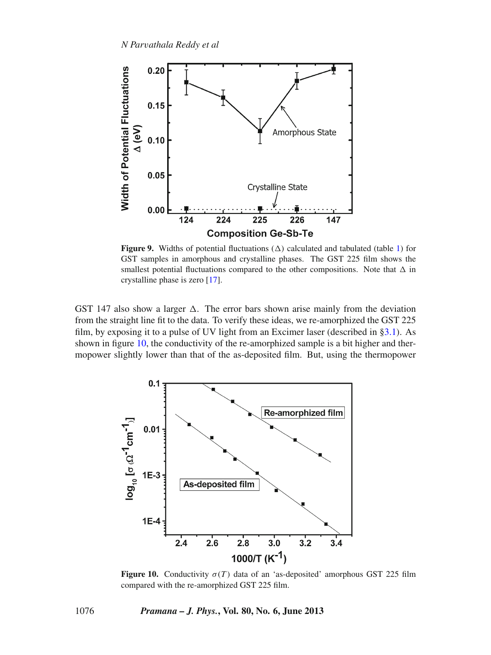<span id="page-11-0"></span>

**Figure 9.** Widths of potential fluctuations  $(\Delta)$  calculated and tabulated (table [1\)](#page-7-0) for GST samples in amorphous and crystalline phases. The GST 225 film shows the smallest potential fluctuations compared to the other compositions. Note that  $\Delta$  in crystalline phase is zero [\[17\]](#page-16-11).

GST 147 also show a larger  $\Delta$ . The error bars shown arise mainly from the deviation from the straight line fit to the data. To verify these ideas, we re-amorphized the GST 225 film, by exposing it to a pulse of UV light from an Excimer laser (described in [§3.1\)](#page-5-1). As shown in figure [10,](#page-11-1) the conductivity of the re-amorphized sample is a bit higher and thermopower slightly lower than that of the as-deposited film. But, using the thermopower

<span id="page-11-1"></span>

**Figure 10.** Conductivity  $\sigma(T)$  data of an 'as-deposited' amorphous GST 225 film compared with the re-amorphized GST 225 film.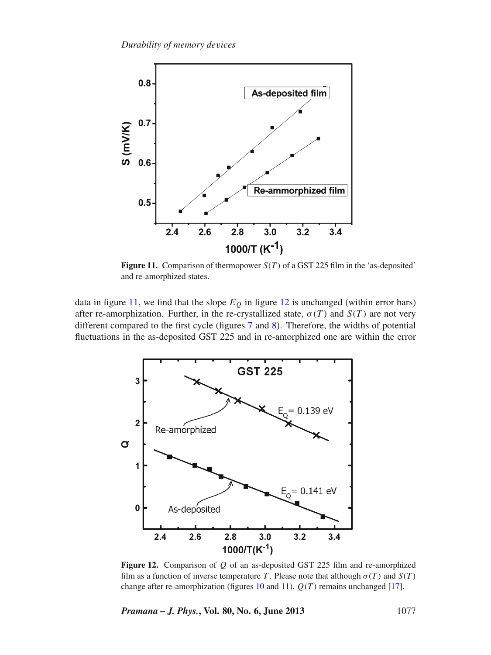<span id="page-12-0"></span>

**Figure 11.** Comparison of thermopower *S*(*T* ) of a GST 225 film in the 'as-deposited' and re-amorphized states.

data in figure [11,](#page-12-0) we find that the slope  $E_Q$  in figure [12](#page-12-1) is unchanged (within error bars) after re-amorphization. Further, in the re-crystallized state,  $\sigma(T)$  and  $S(T)$  are not very different compared to the first cycle (figures [7](#page-10-0) and [8\)](#page-10-1). Therefore, the widths of potential fluctuations in the as-deposited GST 225 and in re-amorphized one are within the error

<span id="page-12-1"></span>

**Figure 12.** Comparison of *Q* of an as-deposited GST 225 film and re-amorphized film as a function of inverse temperature *T*. Please note that although  $\sigma(T)$  and  $S(T)$ change after re-amorphization (figures [10](#page-11-1) and [11\)](#page-12-0), *Q*(*T* ) remains unchanged [\[17](#page-16-11)].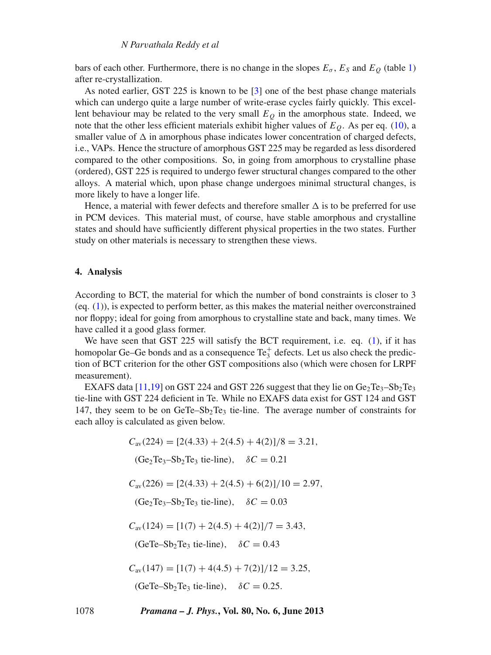bars of each other. Furthermore, there is no change in the slopes  $E_{\sigma}$ ,  $E_{S}$  and  $E_{Q}$  (table [1\)](#page-7-0) after re-crystallization.

As noted earlier, GST 225 is known to be [\[3](#page-15-2)] one of the best phase change materials which can undergo quite a large number of write-erase cycles fairly quickly. This excellent behaviour may be related to the very small  $E<sub>O</sub>$  in the amorphous state. Indeed, we note that the other less efficient materials exhibit higher values of  $E<sub>O</sub>$ . As per eq. [\(10\)](#page-9-1), a smaller value of  $\Delta$  in amorphous phase indicates lower concentration of charged defects, i.e., VAPs. Hence the structure of amorphous GST 225 may be regarded as less disordered compared to the other compositions. So, in going from amorphous to crystalline phase (ordered), GST 225 is required to undergo fewer structural changes compared to the other alloys. A material which, upon phase change undergoes minimal structural changes, is more likely to have a longer life.

Hence, a material with fewer defects and therefore smaller  $\Delta$  is to be preferred for use in PCM devices. This material must, of course, have stable amorphous and crystalline states and should have sufficiently different physical properties in the two states. Further study on other materials is necessary to strengthen these views.

#### **4. Analysis**

According to BCT, the material for which the number of bond constraints is closer to 3 (eq. [\(1\)](#page-2-0)), is expected to perform better, as this makes the material neither overconstrained nor floppy; ideal for going from amorphous to crystalline state and back, many times. We have called it a good glass former.

We have seen that GST 225 will satisfy the BCT requirement, i.e. eq. [\(1\)](#page-2-0), if it has homopolar Ge–Ge bonds and as a consequence  $Te_3^+$  defects. Let us also check the prediction of BCT criterion for the other GST compositions also (which were chosen for LRPF measurement).

EXAFS data  $[11,19]$  $[11,19]$  $[11,19]$  on GST 224 and GST 226 suggest that they lie on  $Ge_2Te_3-Se_2Te_3$ tie-line with GST 224 deficient in Te. While no EXAFS data exist for GST 124 and GST 147, they seem to be on  $\text{GeTe-Sb}_2\text{Te}_3$  tie-line. The average number of constraints for each alloy is calculated as given below.

> $C_{av}(224) = [2(4.33) + 2(4.5) + 4(2)]/8 = 3.21$  $(Ge_2Te_3-Sb_2Te_3$  tie-line),  $\delta C = 0.21$  $C_{\text{av}}(226) = [2(4.33) + 2(4.5) + 6(2)]/10 = 2.97$ ,  $(Ge_2Te_3-Sb_2Te_3$  tie-line),  $\delta C = 0.03$  $C_{av}(124) = [1(7) + 2(4.5) + 4(2)]/7 = 3.43$ , (GeTe–Sb<sub>2</sub>Te<sub>3</sub> tie-line),  $\delta C = 0.43$  $C_{\text{av}}(147) = [1(7) + 4(4.5) + 7(2)]/12 = 3.25,$ (GeTe–Sb<sub>2</sub>Te<sub>3</sub> tie-line),  $\delta C = 0.25$ .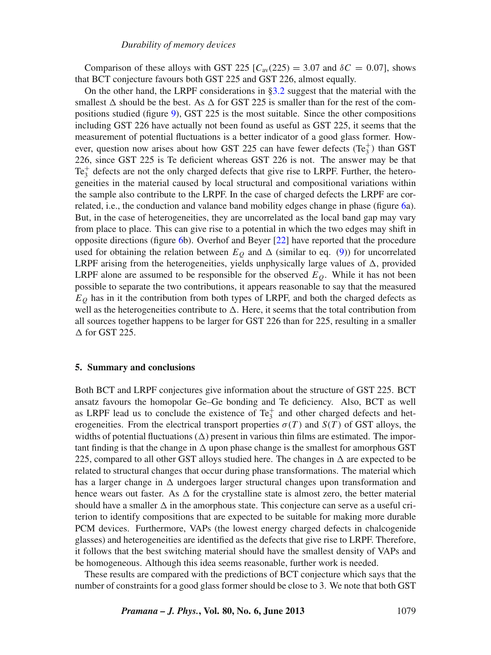Comparison of these alloys with GST 225  $[C_{av}(225) = 3.07$  and  $\delta C = 0.07$ , shows that BCT conjecture favours both GST 225 and GST 226, almost equally.

On the other hand, the LRPF considerations in [§3.2](#page-6-3) suggest that the material with the smallest  $\Delta$  should be the best. As  $\Delta$  for GST 225 is smaller than for the rest of the compositions studied (figure [9\)](#page-11-0), GST 225 is the most suitable. Since the other compositions including GST 226 have actually not been found as useful as GST 225, it seems that the measurement of potential fluctuations is a better indicator of a good glass former. However, question now arises about how GST 225 can have fewer defects  $(Te_3^+)$  than GST 226, since GST 225 is Te deficient whereas GST 226 is not. The answer may be that  $Te<sub>3</sub><sup>+</sup>$  defects are not the only charged defects that give rise to LRPF. Further, the heterogeneities in the material caused by local structural and compositional variations within the sample also contribute to the LRPF. In the case of charged defects the LRPF are correlated, i.e., the conduction and valance band mobility edges change in phase (figure [6a](#page-8-1)). But, in the case of heterogeneities, they are uncorrelated as the local band gap may vary from place to place. This can give rise to a potential in which the two edges may shift in opposite directions (figure [6b](#page-8-1)). Overhof and Beyer [\[22](#page-16-16)] have reported that the procedure used for obtaining the relation between  $E_Q$  and  $\Delta$  (similar to eq. [\(9\)](#page-9-0)) for uncorrelated LRPF arising from the heterogeneities, yields unphysically large values of  $\Delta$ , provided LRPF alone are assumed to be responsible for the observed  $E<sub>O</sub>$ . While it has not been possible to separate the two contributions, it appears reasonable to say that the measured  $E_Q$  has in it the contribution from both types of LRPF, and both the charged defects as well as the heterogeneities contribute to  $\Delta$ . Here, it seems that the total contribution from all sources together happens to be larger for GST 226 than for 225, resulting in a smaller  $\Delta$  for GST 225.

## **5. Summary and conclusions**

Both BCT and LRPF conjectures give information about the structure of GST 225. BCT ansatz favours the homopolar Ge–Ge bonding and Te deficiency. Also, BCT as well as LRPF lead us to conclude the existence of  $Te_3^+$  and other charged defects and heterogeneities. From the electrical transport properties  $\sigma(T)$  and  $S(T)$  of GST alloys, the widths of potential fluctuations  $(\Delta)$  present in various thin films are estimated. The important finding is that the change in  $\Delta$  upon phase change is the smallest for amorphous GST 225, compared to all other GST alloys studied here. The changes in  $\Delta$  are expected to be related to structural changes that occur during phase transformations. The material which has a larger change in  $\Delta$  undergoes larger structural changes upon transformation and hence wears out faster. As  $\Delta$  for the crystalline state is almost zero, the better material should have a smaller  $\Delta$  in the amorphous state. This conjecture can serve as a useful criterion to identify compositions that are expected to be suitable for making more durable PCM devices. Furthermore, VAPs (the lowest energy charged defects in chalcogenide glasses) and heterogeneities are identified as the defects that give rise to LRPF. Therefore, it follows that the best switching material should have the smallest density of VAPs and be homogeneous. Although this idea seems reasonable, further work is needed.

These results are compared with the predictions of BCT conjecture which says that the number of constraints for a good glass former should be close to 3. We note that both GST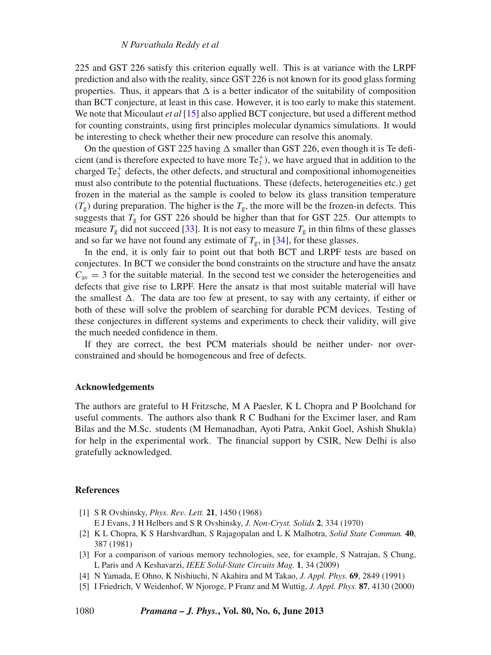### *N Par*v*athala Reddy et al*

225 and GST 226 satisfy this criterion equally well. This is at variance with the LRPF prediction and also with the reality, since GST 226 is not known for its good glass forming properties. Thus, it appears that  $\Delta$  is a better indicator of the suitability of composition than BCT conjecture, at least in this case. However, it is too early to make this statement. We note that Micoulaut *et al* [\[15\]](#page-16-9) also applied BCT conjecture, but used a different method for counting constraints, using first principles molecular dynamics simulations. It would be interesting to check whether their new procedure can resolve this anomaly.

On the question of GST 225 having  $\Delta$  smaller than GST 226, even though it is Te deficient (and is therefore expected to have more  $Te_3^+$ ), we have argued that in addition to the charged  $Te_3^+$  defects, the other defects, and structural and compositional inhomogeneities must also contribute to the potential fluctuations. These (defects, heterogeneities etc.) get frozen in the material as the sample is cooled to below its glass transition temperature  $(T_g)$  during preparation. The higher is the  $T_g$ , the more will be the frozen-in defects. This suggests that  $T_g$  for GST 226 should be higher than that for GST 225. Our attempts to measure  $T_g$  did not succeed [\[33](#page-16-27)]. It is not easy to measure  $T_g$  in thin films of these glasses and so far we have not found any estimate of  $T_g$ , in [\[34\]](#page-16-28), for these glasses.

In the end, it is only fair to point out that both BCT and LRPF tests are based on conjectures. In BCT we consider the bond constraints on the structure and have the ansatz  $C_{\text{av}} = 3$  for the suitable material. In the second test we consider the heterogeneities and defects that give rise to LRPF. Here the ansatz is that most suitable material will have the smallest  $\Delta$ . The data are too few at present, to say with any certainty, if either or both of these will solve the problem of searching for durable PCM devices. Testing of these conjectures in different systems and experiments to check their validity, will give the much needed confidence in them.

If they are correct, the best PCM materials should be neither under- nor overconstrained and should be homogeneous and free of defects.

# **Acknowledgements**

The authors are grateful to H Fritzsche, M A Paesler, K L Chopra and P Boolchand for useful comments. The authors also thank R C Budhani for the Excimer laser, and Ram Bilas and the M.Sc. students (M Hemanadhan, Ayoti Patra, Ankit Goel, Ashish Shukla) for help in the experimental work. The financial support by CSIR, New Delhi is also gratefully acknowledged.

## **References**

<span id="page-15-0"></span>[1] S R Ovshinsky, *Phys. Re*v*. Lett.* **21**, 1450 (1968)

E J Evans, J H Helbers and S R Ovshinsky, *J. Non-Cryst. Solids* **2**, 334 (1970)

- <span id="page-15-1"></span>[2] K L Chopra, K S Harshvardhan, S Rajagopalan and L K Malhotra, *Solid State Commun.* **40**, 387 (1981)
- <span id="page-15-2"></span>[3] For a comparison of various memory technologies, see, for example, S Natrajan, S Chung, L Paris and A Keshavarzi, *IEEE Solid-State Circuits Mag.* **1**, 34 (2009)
- <span id="page-15-3"></span>[4] N Yamada, E Ohno, K Nishiuchi, N Akahira and M Takao, *J. Appl. Phys.* **69**, 2849 (1991)
- [5] I Friedrich, V Weidenhof, W Njoroge, P Franz and M Wuttig, *J. Appl. Phys.* **87**, 4130 (2000)